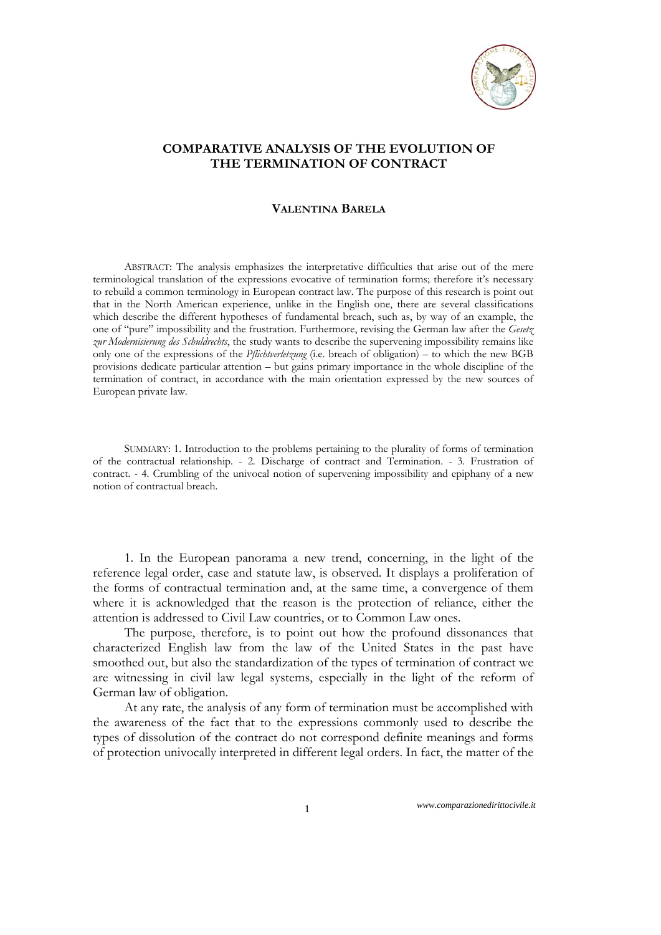

## **COMPARATIVE ANALYSIS OF THE EVOLUTION OF THE TERMINATION OF CONTRACT**

## **VALENTINA BARELA**

ABSTRACT: The analysis emphasizes the interpretative difficulties that arise out of the mere terminological translation of the expressions evocative of termination forms; therefore it's necessary to rebuild a common terminology in European contract law. The purpose of this research is point out that in the North American experience, unlike in the English one, there are several classifications which describe the different hypotheses of fundamental breach, such as, by way of an example, the one of "pure" impossibility and the frustration. Furthermore, revising the German law after the *Gesetz zur Modernisierung des Schuldrechts*, the study wants to describe the supervening impossibility remains like only one of the expressions of the *Pflichtverletzung* (i.e. breach of obligation) – to which the new BGB provisions dedicate particular attention – but gains primary importance in the whole discipline of the termination of contract, in accordance with the main orientation expressed by the new sources of European private law.

SUMMARY: 1. Introduction to the problems pertaining to the plurality of forms of termination of the contractual relationship. - 2. Discharge of contract and Termination. *-* 3. Frustration of contract. - 4. Crumbling of the univocal notion of supervening impossibility and epiphany of a new notion of contractual breach.

1. In the European panorama a new trend, concerning, in the light of the reference legal order, case and statute law, is observed. It displays a proliferation of the forms of contractual termination and, at the same time, a convergence of them where it is acknowledged that the reason is the protection of reliance, either the attention is addressed to Civil Law countries, or to Common Law ones.

The purpose, therefore, is to point out how the profound dissonances that characterized English law from the law of the United States in the past have smoothed out, but also the standardization of the types of termination of contract we are witnessing in civil law legal systems, especially in the light of the reform of German law of obligation.

At any rate, the analysis of any form of termination must be accomplished with the awareness of the fact that to the expressions commonly used to describe the types of dissolution of the contract do not correspond definite meanings and forms of protection univocally interpreted in different legal orders. In fact, the matter of the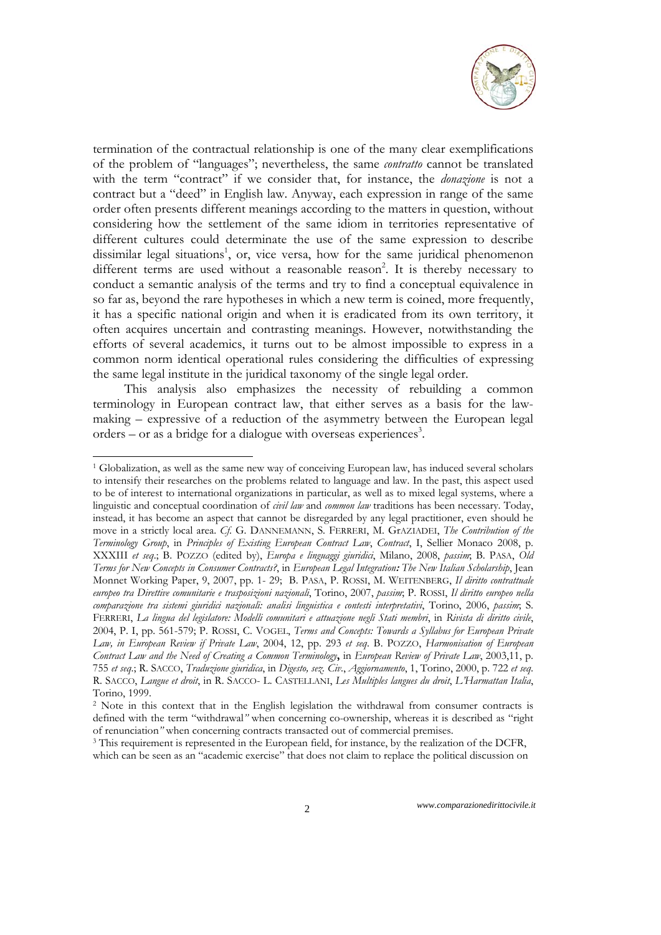

termination of the contractual relationship is one of the many clear exemplifications of the problem of "languages"; nevertheless, the same *contratto* cannot be translated with the term "contract" if we consider that, for instance, the *donazione* is not a contract but a "deed" in English law. Anyway, each expression in range of the same order often presents different meanings according to the matters in question, without considering how the settlement of the same idiom in territories representative of different cultures could determinate the use of the same expression to describe dissimilar legal situations<sup>1</sup>, or, vice versa, how for the same juridical phenomenon different terms are used without a reasonable reason<sup>2</sup>. It is thereby necessary to conduct a semantic analysis of the terms and try to find a conceptual equivalence in so far as, beyond the rare hypotheses in which a new term is coined, more frequently, it has a specific national origin and when it is eradicated from its own territory, it often acquires uncertain and contrasting meanings. However, notwithstanding the efforts of several academics, it turns out to be almost impossible to express in a common norm identical operational rules considering the difficulties of expressing the same legal institute in the juridical taxonomy of the single legal order.

This analysis also emphasizes the necessity of rebuilding a common terminology in European contract law, that either serves as a basis for the lawmaking – expressive of a reduction of the asymmetry between the European legal orders – or as a bridge for a dialogue with overseas experiences<sup>3</sup>.

<sup>1</sup> Globalization, as well as the same new way of conceiving European law, has induced several scholars to intensify their researches on the problems related to language and law. In the past, this aspect used to be of interest to international organizations in particular, as well as to mixed legal systems, where a linguistic and conceptual coordination of *civil law* and *common law* traditions has been necessary. Today, instead, it has become an aspect that cannot be disregarded by any legal practitioner, even should he move in a strictly local area. *Cf*. G. DANNEMANN, S. FERRERI, M. GrAZIADEI, *The Contribution of the Terminology Group*, in *Principles of Existing European Contract Law*, *Contract*, I, Sellier Monaco 2008, p. XXXIII *et seq*.; B. POZZO (edited by), *Europa e linguaggi giuridici*, Milano, 2008, *passim*; B. PASA, *Old Terms for New Concepts in Consumer Contracts?*, in *European Legal Integration***:** *The New Italian Scholarship*, Jean Monnet Working Paper, 9, 2007, pp. 1- 29; B. PASA, P. ROSSI, M. WEITENBERG, *Il diritto contrattuale europeo tra Direttive comunitarie e trasposizioni nazionali*, Torino, 2007, *passim*; P. ROSSI, *Il diritto europeo nella comparazione tra sistemi giuridici nazionali: analisi linguistica e contesti interpretativi*, Torino, 2006, *passim*; S. FERRERI, *La lingua del legislatore: Modelli comunitari e attuazione negli Stati membri*, in *Rivista di diritto civile*, 2004, P. I, pp. 561-579; P. ROSSI, C. VOGEL, *Terms and Concepts: Towards a Syllabus for European Private Law, in European Review if Private Law*, 2004, 12, pp. 293 *et seq*. B. POZZO, *Harmonisation of European Contract Law and the Need of Creating a Common Terminology***,** in *European Review of Private Law*, 2003,11, p. 755 *et seq*.; R. SACCO, *Traduzione giuridica*, in *Digesto, sez. Civ*., *Aggiornamento*, 1, Torino, 2000, p. 722 *et seq*. R. SACCO, *Langue et droit*, in R. SACCO- L. CASTELLANI, *Les Multiples langues du droit*, *L'Harmattan Italia*, Torino, 1999.

<sup>&</sup>lt;sup>2</sup> Note in this context that in the English legislation the withdrawal from consumer contracts is defined with the term "withdrawal*"* when concerning co-ownership, whereas it is described as "right of renunciation*"* when concerning contracts transacted out of commercial premises. 3 This requirement is represented in the European field, for instance, by the realization of the DCFR,

which can be seen as an "academic exercise" that does not claim to replace the political discussion on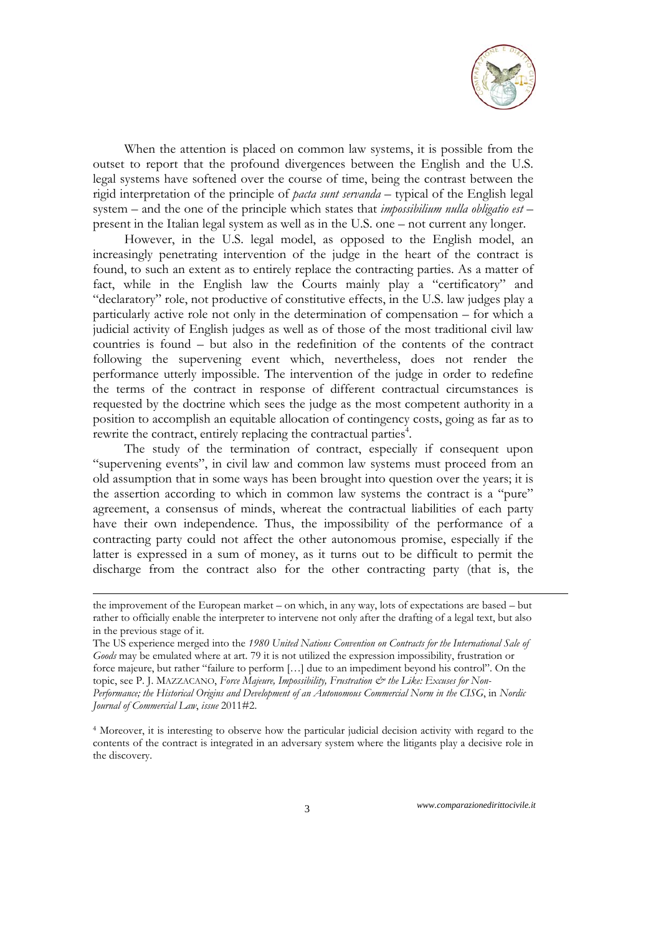

When the attention is placed on common law systems, it is possible from the outset to report that the profound divergences between the English and the U.S. legal systems have softened over the course of time, being the contrast between the rigid interpretation of the principle of *pacta sunt servanda* – typical of the English legal system – and the one of the principle which states that *impossibilium nulla obligatio est* – present in the Italian legal system as well as in the U.S. one – not current any longer.

However, in the U.S. legal model, as opposed to the English model, an increasingly penetrating intervention of the judge in the heart of the contract is found, to such an extent as to entirely replace the contracting parties. As a matter of fact, while in the English law the Courts mainly play a "certificatory" and "declaratory" role, not productive of constitutive effects, in the U.S. law judges play a particularly active role not only in the determination of compensation – for which a judicial activity of English judges as well as of those of the most traditional civil law countries is found – but also in the redefinition of the contents of the contract following the supervening event which, nevertheless, does not render the performance utterly impossible. The intervention of the judge in order to redefine the terms of the contract in response of different contractual circumstances is requested by the doctrine which sees the judge as the most competent authority in a position to accomplish an equitable allocation of contingency costs, going as far as to rewrite the contract, entirely replacing the contractual parties<sup>4</sup>.

The study of the termination of contract, especially if consequent upon "supervening events", in civil law and common law systems must proceed from an old assumption that in some ways has been brought into question over the years; it is the assertion according to which in common law systems the contract is a "pure" agreement, a consensus of minds, whereat the contractual liabilities of each party have their own independence. Thus, the impossibility of the performance of a contracting party could not affect the other autonomous promise, especially if the latter is expressed in a sum of money, as it turns out to be difficult to permit the discharge from the contract also for the other contracting party (that is, the

the improvement of the European market – on which, in any way, lots of expectations are based – but rather to officially enable the interpreter to intervene not only after the drafting of a legal text, but also in the previous stage of it.

The US experience merged into the *1980 United Nations Convention on Contracts for the International Sale of Goods* may be emulated where at art. 79 it is not utilized the expression impossibility, frustration or force majeure, but rather "failure to perform […] due to an impediment beyond his control". On the topic, see P. J. MAZZACANO, *Force Majeure, Impossibility*, *Frustration & the Like: Excuses for Non-Performance; the Historical Origins and Development of an Autonomous Commercial Norm in the CISG*, in *Nordic Journal of Commercial Law*, *issue* 2011#2.

<sup>4</sup> Moreover, it is interesting to observe how the particular judicial decision activity with regard to the contents of the contract is integrated in an adversary system where the litigants play a decisive role in the discovery.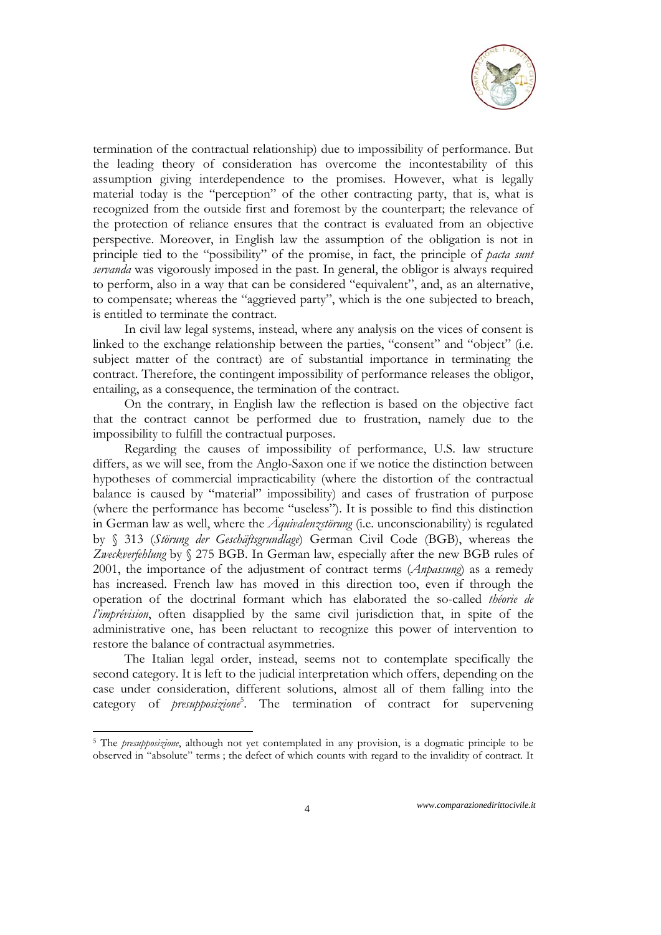

termination of the contractual relationship) due to impossibility of performance. But the leading theory of consideration has overcome the incontestability of this assumption giving interdependence to the promises. However, what is legally material today is the "perception" of the other contracting party, that is, what is recognized from the outside first and foremost by the counterpart; the relevance of the protection of reliance ensures that the contract is evaluated from an objective perspective. Moreover, in English law the assumption of the obligation is not in principle tied to the "possibility" of the promise, in fact, the principle of *pacta sunt servanda* was vigorously imposed in the past. In general, the obligor is always required to perform, also in a way that can be considered "equivalent", and, as an alternative, to compensate; whereas the "aggrieved party", which is the one subjected to breach, is entitled to terminate the contract.

In civil law legal systems, instead, where any analysis on the vices of consent is linked to the exchange relationship between the parties, "consent" and "object" (i.e. subject matter of the contract) are of substantial importance in terminating the contract. Therefore, the contingent impossibility of performance releases the obligor, entailing, as a consequence, the termination of the contract.

On the contrary, in English law the reflection is based on the objective fact that the contract cannot be performed due to frustration, namely due to the impossibility to fulfill the contractual purposes.

Regarding the causes of impossibility of performance, U.S. law structure differs, as we will see, from the Anglo-Saxon one if we notice the distinction between hypotheses of commercial impracticability (where the distortion of the contractual balance is caused by "material" impossibility) and cases of frustration of purpose (where the performance has become "useless"). It is possible to find this distinction in German law as well, where the *Äquivalenzstörung* (i.e. unconscionability) is regulated by § 313 (*Störung der Geschäftsgrundlage*) German Civil Code (BGB), whereas the *Zweckverfehlung* by § 275 BGB. In German law, especially after the new BGB rules of 2001, the importance of the adjustment of contract terms (*Anpassung*) as a remedy has increased. French law has moved in this direction too, even if through the operation of the doctrinal formant which has elaborated the so-called *théorie de l'imprévision*, often disapplied by the same civil jurisdiction that, in spite of the administrative one, has been reluctant to recognize this power of intervention to restore the balance of contractual asymmetries.

The Italian legal order, instead, seems not to contemplate specifically the second category. It is left to the judicial interpretation which offers, depending on the case under consideration, different solutions, almost all of them falling into the category of *presupposizione*<sup>5</sup>. The termination of contract for supervening

<sup>5</sup> The *presupposizione*, although not yet contemplated in any provision, is a dogmatic principle to be observed in "absolute" terms ; the defect of which counts with regard to the invalidity of contract. It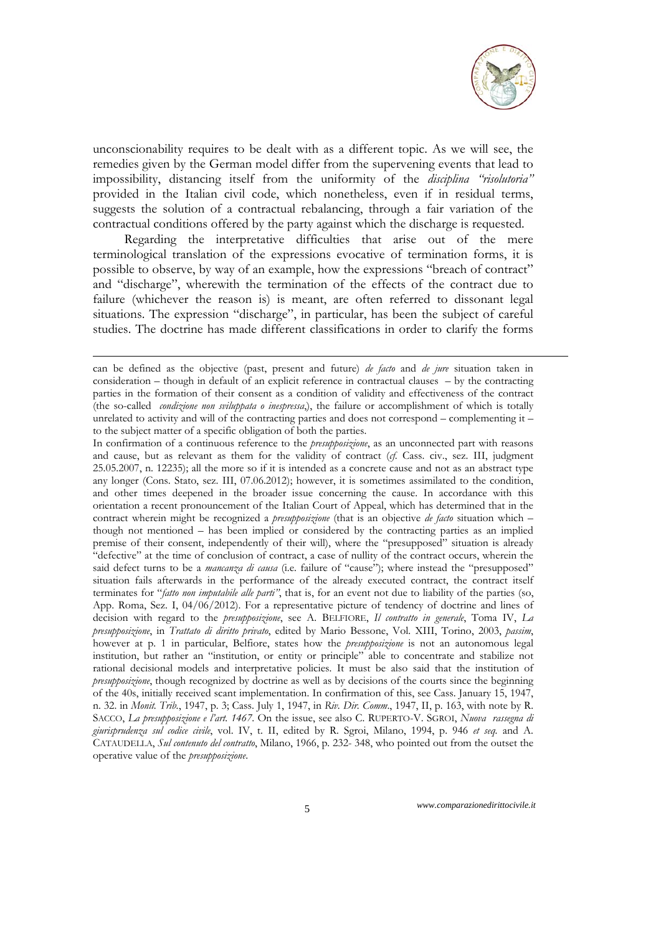

unconscionability requires to be dealt with as a different topic. As we will see, the remedies given by the German model differ from the supervening events that lead to impossibility, distancing itself from the uniformity of the *disciplina "risolutoria"* provided in the Italian civil code, which nonetheless, even if in residual terms, suggests the solution of a contractual rebalancing, through a fair variation of the contractual conditions offered by the party against which the discharge is requested.

Regarding the interpretative difficulties that arise out of the mere terminological translation of the expressions evocative of termination forms, it is possible to observe, by way of an example, how the expressions "breach of contract" and "discharge", wherewith the termination of the effects of the contract due to failure (whichever the reason is) is meant, are often referred to dissonant legal situations. The expression "discharge", in particular, has been the subject of careful studies. The doctrine has made different classifications in order to clarify the forms

1

can be defined as the objective (past, present and future) *de facto* and *de jure* situation taken in consideration – though in default of an explicit reference in contractual clauses – by the contracting parties in the formation of their consent as a condition of validity and effectiveness of the contract (the so-called *condizione non sviluppata o inespressa*,), the failure or accomplishment of which is totally unrelated to activity and will of the contracting parties and does not correspond – complementing it – to the subject matter of a specific obligation of both the parties.

In confirmation of a continuous reference to the *presupposizione*, as an unconnected part with reasons and cause, but as relevant as them for the validity of contract (*cf.* Cass. civ., sez. III, judgment 25.05.2007, n. 12235); all the more so if it is intended as a concrete cause and not as an abstract type any longer (Cons. Stato, sez. III, 07.06.2012); however, it is sometimes assimilated to the condition, and other times deepened in the broader issue concerning the cause. In accordance with this orientation a recent pronouncement of the Italian Court of Appeal, which has determined that in the contract wherein might be recognized a *presupposizione* (that is an objective *de facto* situation which – though not mentioned – has been implied or considered by the contracting parties as an implied premise of their consent, independently of their will), where the "presupposed" situation is already "defective" at the time of conclusion of contract, a case of nullity of the contract occurs, wherein the said defect turns to be a *mancanza di causa* (i.e. failure of "cause"); where instead the "presupposed" situation fails afterwards in the performance of the already executed contract, the contract itself terminates for "*fatto non imputabile alle parti"*, that is, for an event not due to liability of the parties (so, App. Roma, Sez. I, 04/06/2012). For a representative picture of tendency of doctrine and lines of decision with regard to the *presupposizione*, see A. BELFIORE, *Il contratto in generale*, Toma IV, *La presupposizione*, in *Trattato di diritto privato*, edited by Mario Bessone, Vol. XIII, Torino, 2003, *passim*, however at p. 1 in particular, Belfiore, states how the *presupposizione* is not an autonomous legal institution, but rather an "institution, or entity or principle" able to concentrate and stabilize not rational decisional models and interpretative policies. It must be also said that the institution of *presupposizione*, though recognized by doctrine as well as by decisions of the courts since the beginning of the 40s, initially received scant implementation. In confirmation of this, see Cass. January 15, 1947, n. 32. in *Monit. Trib.*, 1947, p. 3; Cass. July 1, 1947, in *Riv. Dir. Comm*., 1947, II, p. 163, with note by R. SACCO, *La presupposizione e l'art. 1467*. On the issue, see also C. RUPERTO-V. SGROI, *Nuova rassegna di giurisprudenza sul codice civile*, vol. IV, t. II, edited by R. Sgroi, Milano, 1994, p. 946 *et seq.* and A. CATAUDELLA, *Sul contenuto del contratto*, Milano, 1966, p. 232- 348, who pointed out from the outset the operative value of the *presupposizione*.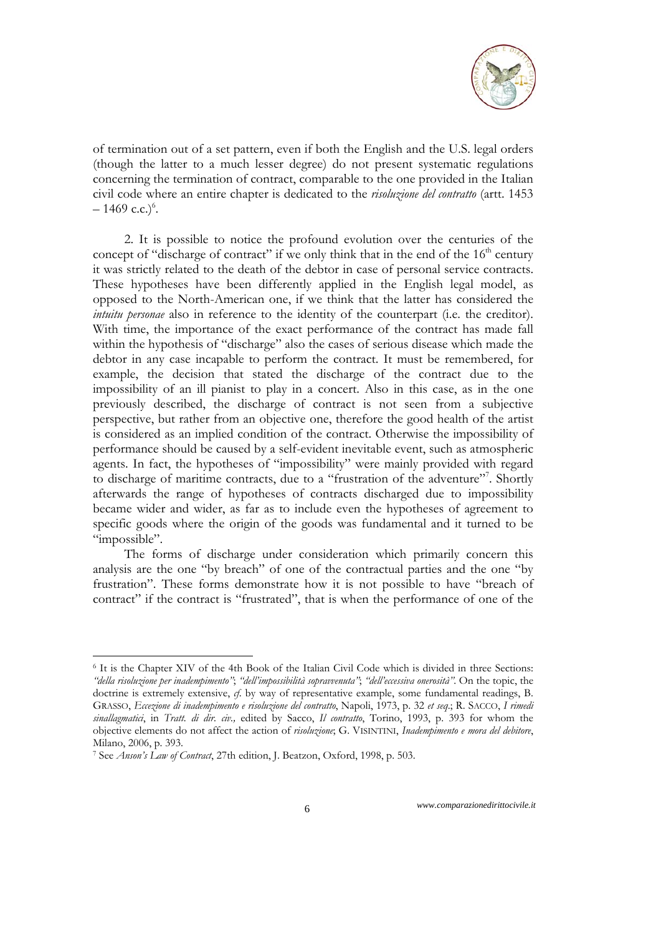

of termination out of a set pattern, even if both the English and the U.S. legal orders (though the latter to a much lesser degree) do not present systematic regulations concerning the termination of contract, comparable to the one provided in the Italian civil code where an entire chapter is dedicated to the *risoluzione del contratto* (artt. 1453  $-1469$  c.c.)<sup>6</sup>.

2. It is possible to notice the profound evolution over the centuries of the concept of "discharge of contract" if we only think that in the end of the 16<sup>th</sup> century it was strictly related to the death of the debtor in case of personal service contracts. These hypotheses have been differently applied in the English legal model, as opposed to the North-American one, if we think that the latter has considered the *intuitu personae* also in reference to the identity of the counterpart (i.e. the creditor). With time, the importance of the exact performance of the contract has made fall within the hypothesis of "discharge" also the cases of serious disease which made the debtor in any case incapable to perform the contract. It must be remembered, for example, the decision that stated the discharge of the contract due to the impossibility of an ill pianist to play in a concert. Also in this case, as in the one previously described, the discharge of contract is not seen from a subjective perspective, but rather from an objective one, therefore the good health of the artist is considered as an implied condition of the contract. Otherwise the impossibility of performance should be caused by a self-evident inevitable event, such as atmospheric agents. In fact, the hypotheses of "impossibility" were mainly provided with regard to discharge of maritime contracts, due to a "frustration of the adventure"<sup>7</sup>. Shortly afterwards the range of hypotheses of contracts discharged due to impossibility became wider and wider, as far as to include even the hypotheses of agreement to specific goods where the origin of the goods was fundamental and it turned to be "impossible".

The forms of discharge under consideration which primarily concern this analysis are the one "by breach" of one of the contractual parties and the one "by frustration". These forms demonstrate how it is not possible to have "breach of contract" if the contract is "frustrated", that is when the performance of one of the

-

<sup>6</sup> It is the Chapter XIV of the 4th Book of the Italian Civil Code which is divided in three Sections: *"della risoluzione per inadempimento"*; *"dell'impossibilità sopravvenuta"*; *"dell'eccessiva onerosità"*. On the topic, the doctrine is extremely extensive, *cf*. by way of representative example, some fundamental readings, B. GRASSO, *Eccezione di inadempimento e risoluzione del contratto*, Napoli, 1973, p. 32 *et seq*.; R. SACCO, *I rimedi sinallagmatici*, in *Tratt. di dir. civ.,* edited by Sacco, *Il contratto*, Torino, 1993, p. 393 for whom the objective elements do not affect the action of *risoluzione*; G. VISINTINI, *Inadempimento e mora del debitore*, Milano, 2006, p. 393.

<sup>7</sup> See *Anson's Law of Contract*, 27th edition, J. Beatzon, Oxford, 1998, p. 503.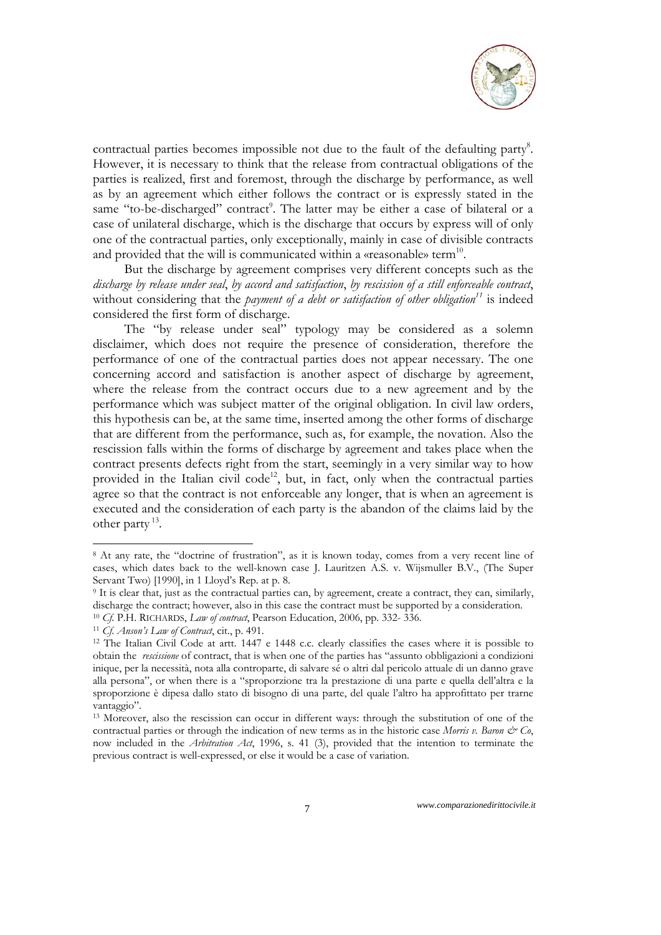

contractual parties becomes impossible not due to the fault of the defaulting party<sup>8</sup>. However, it is necessary to think that the release from contractual obligations of the parties is realized, first and foremost, through the discharge by performance, as well as by an agreement which either follows the contract or is expressly stated in the same "to-be-discharged" contract<sup>9</sup>. The latter may be either a case of bilateral or a case of unilateral discharge, which is the discharge that occurs by express will of only one of the contractual parties, only exceptionally, mainly in case of divisible contracts and provided that the will is communicated within a «reasonable» term<sup>10</sup>.

But the discharge by agreement comprises very different concepts such as the *discharge by release under seal*, *by accord and satisfaction*, *by rescission of a still enforceable contract*, without considering that the *payment of a debt or satisfaction of other obligation*<sup>11</sup> is indeed considered the first form of discharge.

The "by release under seal" typology may be considered as a solemn disclaimer, which does not require the presence of consideration, therefore the performance of one of the contractual parties does not appear necessary. The one concerning accord and satisfaction is another aspect of discharge by agreement, where the release from the contract occurs due to a new agreement and by the performance which was subject matter of the original obligation. In civil law orders, this hypothesis can be, at the same time, inserted among the other forms of discharge that are different from the performance, such as, for example, the novation. Also the rescission falls within the forms of discharge by agreement and takes place when the contract presents defects right from the start, seemingly in a very similar way to how provided in the Italian civil  $code^{12}$ , but, in fact, only when the contractual parties agree so that the contract is not enforceable any longer, that is when an agreement is executed and the consideration of each party is the abandon of the claims laid by the other party 13.

<sup>8</sup> At any rate, the "doctrine of frustration", as it is known today, comes from a very recent line of cases, which dates back to the well-known case J. Lauritzen A.S. v. Wijsmuller B.V., (The Super Servant Two) [1990], in 1 Lloyd's Rep. at p. 8.

<sup>9</sup> It is clear that, just as the contractual parties can, by agreement, create a contract, they can, similarly, discharge the contract; however, also in this case the contract must be supported by a consideration.<br><sup>10</sup> *Cf*. P.H. RICHARDS, *Law of contract*, Pearson Education, 2006, pp. 332- 336.<br><sup>11</sup> *Cf. Anson's Law of Contract*,

obtain the *rescissione* of contract, that is when one of the parties has "assunto obbligazioni a condizioni inique, per la necessità, nota alla controparte, di salvare sé o altri dal pericolo attuale di un danno grave alla persona", or when there is a "sproporzione tra la prestazione di una parte e quella dell'altra e la sproporzione è dipesa dallo stato di bisogno di una parte, del quale l'altro ha approfittato per trarne vantaggio".

<sup>13</sup> Moreover, also the rescission can occur in different ways: through the substitution of one of the contractual parties or through the indication of new terms as in the historic case *Morris v. Baron & Co*, now included in the *Arbitration Act*, 1996, s. 41 (3), provided that the intention to terminate the previous contract is well-expressed, or else it would be a case of variation.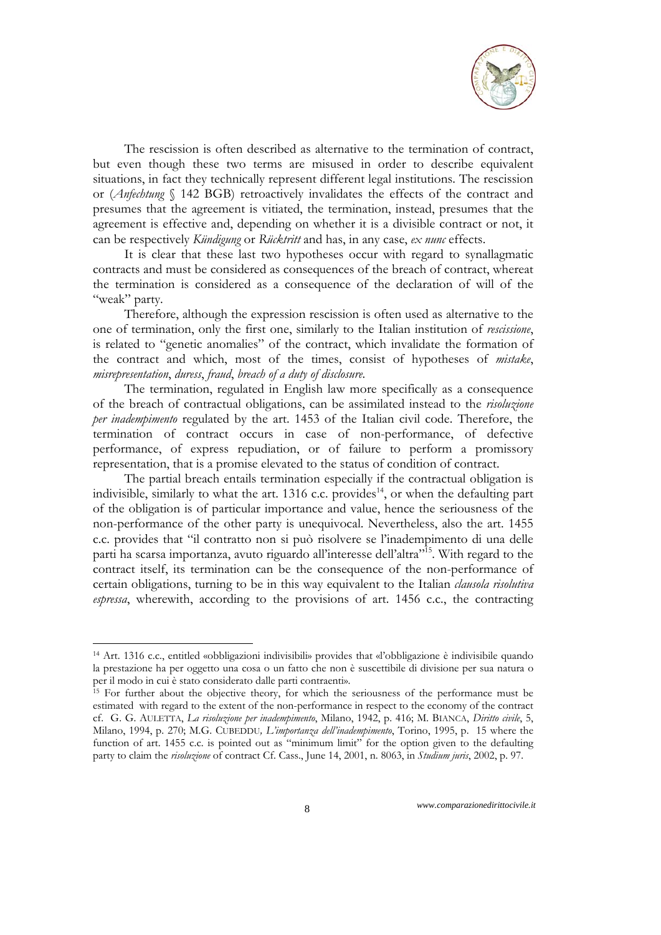

The rescission is often described as alternative to the termination of contract, but even though these two terms are misused in order to describe equivalent situations, in fact they technically represent different legal institutions. The rescission or (*Anfechtung* § 142 BGB) retroactively invalidates the effects of the contract and presumes that the agreement is vitiated, the termination, instead, presumes that the agreement is effective and, depending on whether it is a divisible contract or not, it can be respectively *Kündigung* or *Rücktritt* and has, in any case, *ex nunc* effects.

It is clear that these last two hypotheses occur with regard to synallagmatic contracts and must be considered as consequences of the breach of contract, whereat the termination is considered as a consequence of the declaration of will of the "weak" party.

Therefore, although the expression rescission is often used as alternative to the one of termination, only the first one, similarly to the Italian institution of *rescissione*, is related to "genetic anomalies" of the contract, which invalidate the formation of the contract and which, most of the times, consist of hypotheses of *mistake*, *misrepresentation*, *duress*, *fraud*, *breach of a duty of disclosure*.

The termination, regulated in English law more specifically as a consequence of the breach of contractual obligations, can be assimilated instead to the *risoluzione per inadempimento* regulated by the art. 1453 of the Italian civil code. Therefore, the termination of contract occurs in case of non-performance, of defective performance, of express repudiation, or of failure to perform a promissory representation, that is a promise elevated to the status of condition of contract.

The partial breach entails termination especially if the contractual obligation is indivisible, similarly to what the art. 1316 c.c. provides<sup>14</sup>, or when the defaulting part of the obligation is of particular importance and value, hence the seriousness of the non-performance of the other party is unequivocal. Nevertheless, also the art. 1455 c.c. provides that "il contratto non si può risolvere se l'inadempimento di una delle parti ha scarsa importanza, avuto riguardo all'interesse dell'altra"<sup>15</sup>. With regard to the contract itself, its termination can be the consequence of the non-performance of certain obligations, turning to be in this way equivalent to the Italian *clausola risolutiva espressa*, wherewith, according to the provisions of art. 1456 c.c., the contracting

<sup>14</sup> Art. 1316 c.c., entitled «obbligazioni indivisibili» provides that «l'obbligazione è indivisibile quando la prestazione ha per oggetto una cosa o un fatto che non è suscettibile di divisione per sua natura o

 $\frac{15}{15}$  For further about the objective theory, for which the seriousness of the performance must be estimated with regard to the extent of the non-performance in respect to the economy of the contract cf. G. G. AULETTA, *La risoluzione per inadempimento*, Milano, 1942, p. 416; M. BIANCA, *Diritto civile*, 5, Milano, 1994, p. 270; M.G. CUBEDDU*, L'importanza dell'inadempimento*, Torino, 1995, p. 15 where the function of art. 1455 c.c. is pointed out as "minimum limit" for the option given to the defaulting party to claim the *risoluzione* of contract Cf. Cass., June 14, 2001, n. 8063, in *Studium juris*, 2002, p. 97.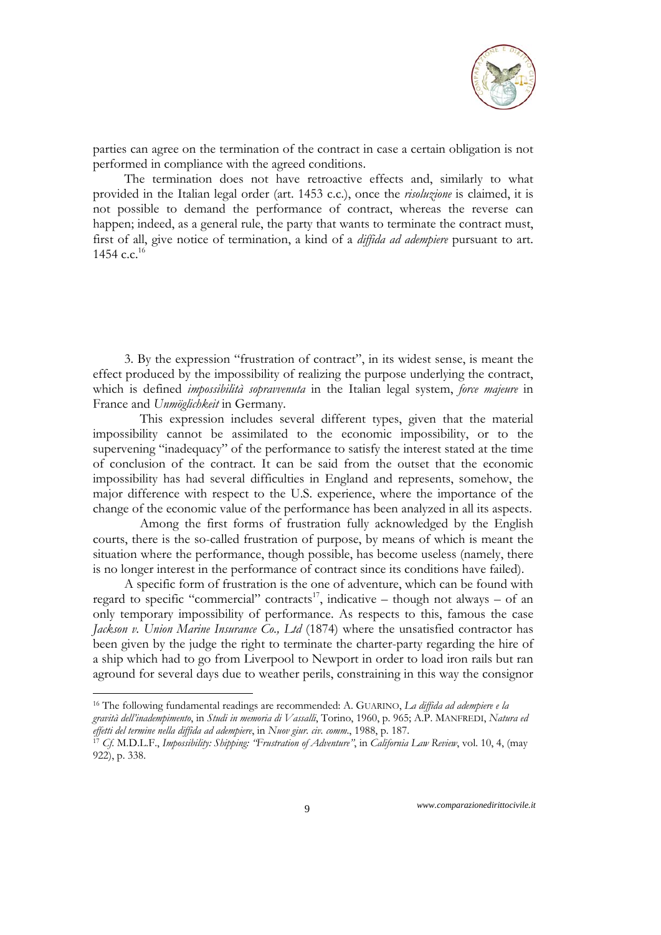

parties can agree on the termination of the contract in case a certain obligation is not performed in compliance with the agreed conditions.

The termination does not have retroactive effects and, similarly to what provided in the Italian legal order (art. 1453 c.c.), once the *risoluzione* is claimed, it is not possible to demand the performance of contract, whereas the reverse can happen; indeed, as a general rule, the party that wants to terminate the contract must, first of all, give notice of termination, a kind of a *diffida ad adempiere* pursuant to art. 1454 c.c.<sup>16</sup>

3. By the expression "frustration of contract", in its widest sense, is meant the effect produced by the impossibility of realizing the purpose underlying the contract, which is defined *impossibilità sopravvenuta* in the Italian legal system, *force majeure* in France and *Unmöglichkeit* in Germany*.*

This expression includes several different types, given that the material impossibility cannot be assimilated to the economic impossibility, or to the supervening "inadequacy" of the performance to satisfy the interest stated at the time of conclusion of the contract. It can be said from the outset that the economic impossibility has had several difficulties in England and represents, somehow, the major difference with respect to the U.S. experience, where the importance of the change of the economic value of the performance has been analyzed in all its aspects.

Among the first forms of frustration fully acknowledged by the English courts, there is the so-called frustration of purpose, by means of which is meant the situation where the performance, though possible, has become useless (namely, there is no longer interest in the performance of contract since its conditions have failed).

A specific form of frustration is the one of adventure, which can be found with regard to specific "commercial" contracts<sup>17</sup>, indicative – though not always – of an only temporary impossibility of performance. As respects to this, famous the case *Jackson v. Union Marine Insurance Co., Ltd* (1874) where the unsatisfied contractor has been given by the judge the right to terminate the charter-party regarding the hire of a ship which had to go from Liverpool to Newport in order to load iron rails but ran aground for several days due to weather perils, constraining in this way the consignor

<sup>16</sup> The following fundamental readings are recommended: A. GUARINO, *La diffida ad adempiere e la* 

*gravità dell'inadempimento*, in *Studi in memoria di Vassalli*, Torino, 1960, p. 965; A.P. MANFREDI, *Natura ed*  effetti del termine nella diffida ad adempiere, in Nuov giur. civ. comm., 1988, p. 187.<br><sup>17</sup> Cf. M.D.L.F., Impossibility: Shipping: ''Frustration of Adventure'', in California Law Review, vol. 10, 4, (may

<sup>922),</sup> p. 338.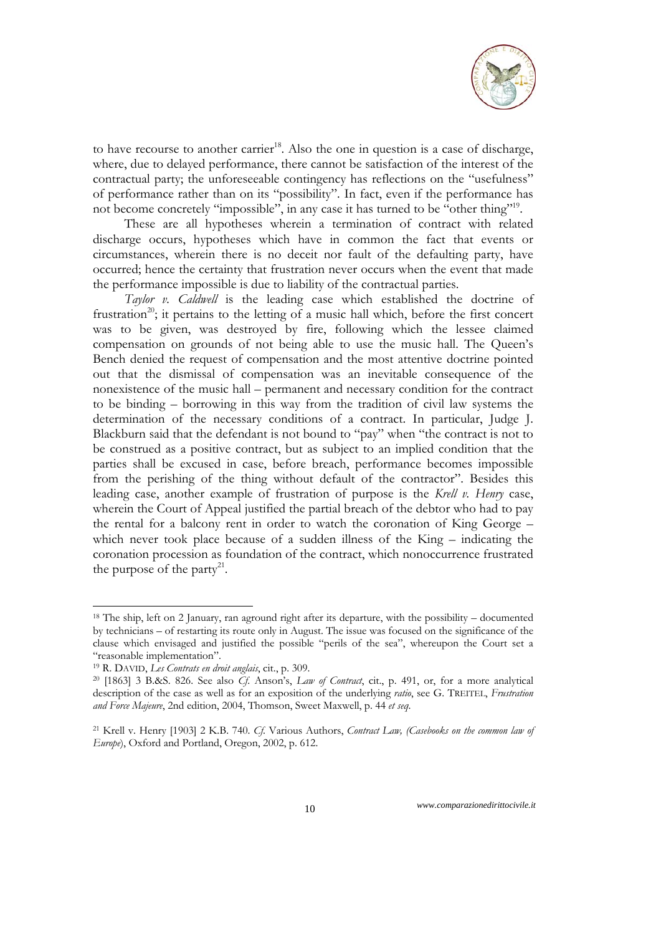

to have recourse to another carrier<sup>18</sup>. Also the one in question is a case of discharge, where, due to delayed performance, there cannot be satisfaction of the interest of the contractual party; the unforeseeable contingency has reflections on the "usefulness" of performance rather than on its "possibility". In fact, even if the performance has not become concretely "impossible", in any case it has turned to be "other thing"<sup>19</sup>.

These are all hypotheses wherein a termination of contract with related discharge occurs, hypotheses which have in common the fact that events or circumstances, wherein there is no deceit nor fault of the defaulting party, have occurred; hence the certainty that frustration never occurs when the event that made the performance impossible is due to liability of the contractual parties.

*Taylor v. Caldwell* is the leading case which established the doctrine of frustration<sup>20</sup>; it pertains to the letting of a music hall which, before the first concert was to be given, was destroyed by fire, following which the lessee claimed compensation on grounds of not being able to use the music hall. The Queen's Bench denied the request of compensation and the most attentive doctrine pointed out that the dismissal of compensation was an inevitable consequence of the nonexistence of the music hall – permanent and necessary condition for the contract to be binding – borrowing in this way from the tradition of civil law systems the determination of the necessary conditions of a contract. In particular, Judge J. Blackburn said that the defendant is not bound to "pay" when "the contract is not to be construed as a positive contract, but as subject to an implied condition that the parties shall be excused in case, before breach, performance becomes impossible from the perishing of the thing without default of the contractor". Besides this leading case, another example of frustration of purpose is the *Krell v. Henry* case, wherein the Court of Appeal justified the partial breach of the debtor who had to pay the rental for a balcony rent in order to watch the coronation of King George – which never took place because of a sudden illness of the King – indicating the coronation procession as foundation of the contract, which nonoccurrence frustrated the purpose of the party<sup>21</sup>.

-

<sup>18</sup> The ship, left on 2 January, ran aground right after its departure, with the possibility – documented by technicians – of restarting its route only in August. The issue was focused on the significance of the clause which envisaged and justified the possible "perils of the sea", whereupon the Court set a "reasonable implementation".

<sup>19</sup> R. DAVID, *Les Contrats en droit anglais*, cit., p. 309.

<sup>20 [1863] 3</sup> B.&S. 826. See also *Cf*. Anson's, *Law of Contract*, cit., p. 491, or, for a more analytical description of the case as well as for an exposition of the underlying *ratio*, see G. TREITEL, *Frustration and Force Majeure*, 2nd edition, 2004, Thomson, Sweet Maxwell, p. 44 *et seq*.

<sup>21</sup> Krell v. Henry [1903] 2 K.B. 740. *Cf*. Various Authors, *Contract Law, (Casebooks on the common law of Europe*), Oxford and Portland, Oregon, 2002, p. 612.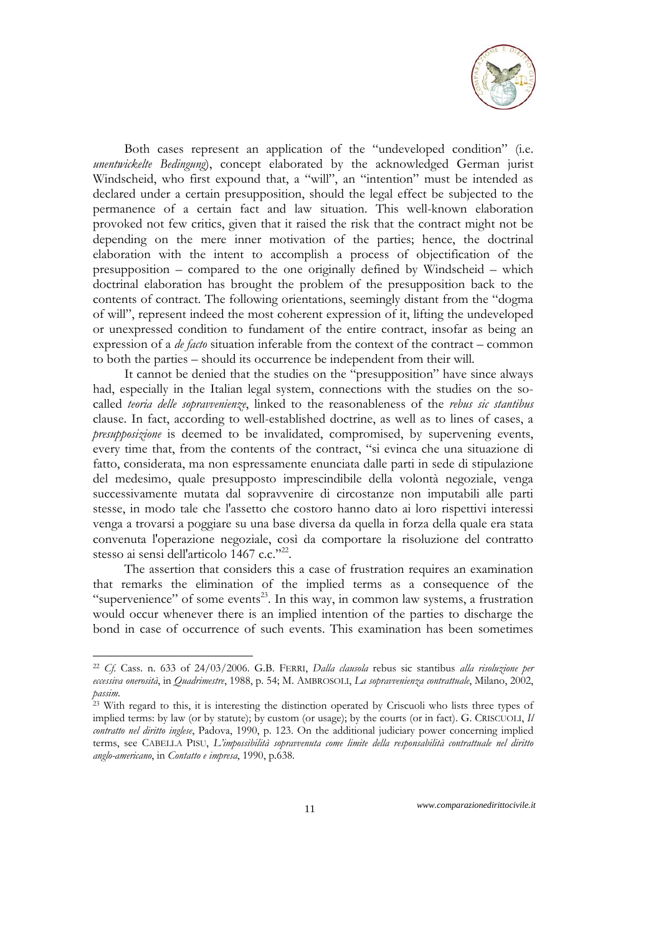

Both cases represent an application of the "undeveloped condition" (i.e. *unentwickelte Bedingung*), concept elaborated by the acknowledged German jurist Windscheid, who first expound that, a "will", an "intention" must be intended as declared under a certain presupposition, should the legal effect be subjected to the permanence of a certain fact and law situation. This well-known elaboration provoked not few critics, given that it raised the risk that the contract might not be depending on the mere inner motivation of the parties; hence, the doctrinal elaboration with the intent to accomplish a process of objectification of the presupposition – compared to the one originally defined by Windscheid – which doctrinal elaboration has brought the problem of the presupposition back to the contents of contract. The following orientations, seemingly distant from the "dogma of will", represent indeed the most coherent expression of it, lifting the undeveloped or unexpressed condition to fundament of the entire contract, insofar as being an expression of a *de facto* situation inferable from the context of the contract – common to both the parties – should its occurrence be independent from their will.

It cannot be denied that the studies on the "presupposition" have since always had, especially in the Italian legal system, connections with the studies on the socalled *teoria delle sopravvenienze*, linked to the reasonableness of the *rebus sic stantibus*  clause. In fact, according to well-established doctrine, as well as to lines of cases, a *presupposizione* is deemed to be invalidated, compromised, by supervening events, every time that, from the contents of the contract, "si evinca che una situazione di fatto, considerata, ma non espressamente enunciata dalle parti in sede di stipulazione del medesimo, quale presupposto imprescindibile della volontà negoziale, venga successivamente mutata dal sopravvenire di circostanze non imputabili alle parti stesse, in modo tale che l'assetto che costoro hanno dato ai loro rispettivi interessi venga a trovarsi a poggiare su una base diversa da quella in forza della quale era stata convenuta l'operazione negoziale, così da comportare la risoluzione del contratto stesso ai sensi dell'articolo 1467 c.c."<sup>22</sup>.

The assertion that considers this a case of frustration requires an examination that remarks the elimination of the implied terms as a consequence of the "supervenience" of some events<sup>23</sup>. In this way, in common law systems, a frustration would occur whenever there is an implied intention of the parties to discharge the bond in case of occurrence of such events. This examination has been sometimes

<sup>22</sup> *Cf*. Cass. n. 633 of 24/03/2006. G.B. FERRI, *Dalla clausola* rebus sic stantibus *alla risoluzione per eccessiva onerosità*, in *Quadrimestre*, 1988, p. 54; M. AMBROSOLI, *La sopravvenienza contrattuale*, Milano, 2002,

<sup>&</sup>lt;sup>23</sup> With regard to this, it is interesting the distinction operated by Criscuoli who lists three types of implied terms: by law (or by statute); by custom (or usage); by the courts (or in fact). G. CRISCUOLI, *Il contratto nel diritto inglese*, Padova, 1990, p. 123. On the additional judiciary power concerning implied terms, see CABELLA PISU, *L'impossibilità sopravvenuta come limite della responsabilità contrattuale nel diritto anglo-americano*, in *Contatto e impresa*, 1990, p.638.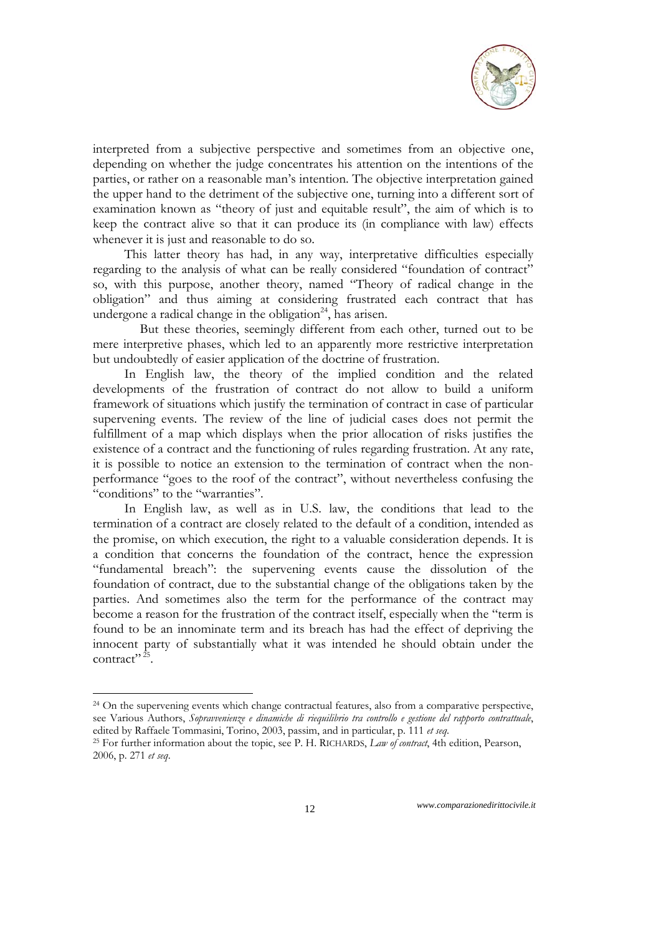

interpreted from a subjective perspective and sometimes from an objective one, depending on whether the judge concentrates his attention on the intentions of the parties, or rather on a reasonable man's intention. The objective interpretation gained the upper hand to the detriment of the subjective one, turning into a different sort of examination known as "theory of just and equitable result", the aim of which is to keep the contract alive so that it can produce its (in compliance with law) effects whenever it is just and reasonable to do so.

This latter theory has had, in any way, interpretative difficulties especially regarding to the analysis of what can be really considered "foundation of contract" so, with this purpose, another theory, named "Theory of radical change in the obligation" and thus aiming at considering frustrated each contract that has undergone a radical change in the obligation $24$ , has arisen.

But these theories, seemingly different from each other, turned out to be mere interpretive phases, which led to an apparently more restrictive interpretation but undoubtedly of easier application of the doctrine of frustration.

In English law, the theory of the implied condition and the related developments of the frustration of contract do not allow to build a uniform framework of situations which justify the termination of contract in case of particular supervening events. The review of the line of judicial cases does not permit the fulfillment of a map which displays when the prior allocation of risks justifies the existence of a contract and the functioning of rules regarding frustration. At any rate, it is possible to notice an extension to the termination of contract when the nonperformance "goes to the roof of the contract", without nevertheless confusing the "conditions" to the "warranties".

In English law, as well as in U.S. law, the conditions that lead to the termination of a contract are closely related to the default of a condition, intended as the promise, on which execution, the right to a valuable consideration depends. It is a condition that concerns the foundation of the contract, hence the expression "fundamental breach": the supervening events cause the dissolution of the foundation of contract, due to the substantial change of the obligations taken by the parties. And sometimes also the term for the performance of the contract may become a reason for the frustration of the contract itself, especially when the "term is found to be an innominate term and its breach has had the effect of depriving the innocent party of substantially what it was intended he should obtain under the contract"<sup>25</sup>.

-

<sup>&</sup>lt;sup>24</sup> On the supervening events which change contractual features, also from a comparative perspective, see Various Authors, *Sopravvenienze e dinamiche di riequilibrio tra controllo e gestione del rapporto contrattuale*, edited by Raffaele Tommasini, Torino, 2003, passim, and in particular, p. 111 *et seq*. 25 For further information about the topic, see P. H. RICHARDS, *Law of contract*, 4th edition, Pearson,

<sup>2006,</sup> p. 271 *et seq*.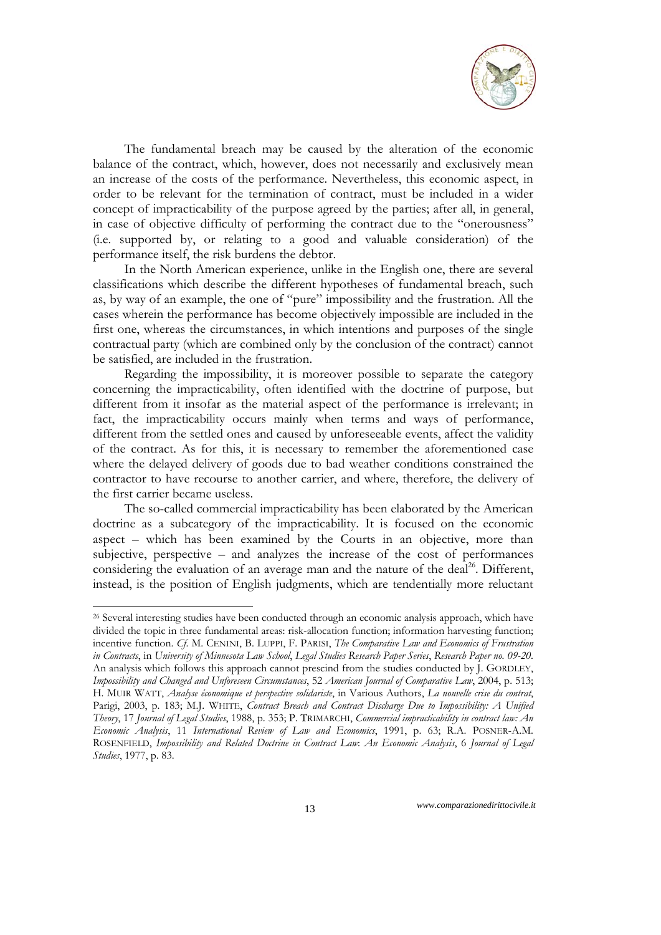

The fundamental breach may be caused by the alteration of the economic balance of the contract, which, however, does not necessarily and exclusively mean an increase of the costs of the performance. Nevertheless, this economic aspect, in order to be relevant for the termination of contract, must be included in a wider concept of impracticability of the purpose agreed by the parties; after all, in general, in case of objective difficulty of performing the contract due to the "onerousness" (i.e. supported by, or relating to a good and valuable consideration) of the performance itself, the risk burdens the debtor.

In the North American experience, unlike in the English one, there are several classifications which describe the different hypotheses of fundamental breach, such as, by way of an example, the one of "pure" impossibility and the frustration. All the cases wherein the performance has become objectively impossible are included in the first one, whereas the circumstances, in which intentions and purposes of the single contractual party (which are combined only by the conclusion of the contract) cannot be satisfied, are included in the frustration.

Regarding the impossibility, it is moreover possible to separate the category concerning the impracticability, often identified with the doctrine of purpose, but different from it insofar as the material aspect of the performance is irrelevant; in fact, the impracticability occurs mainly when terms and ways of performance, different from the settled ones and caused by unforeseeable events, affect the validity of the contract. As for this, it is necessary to remember the aforementioned case where the delayed delivery of goods due to bad weather conditions constrained the contractor to have recourse to another carrier, and where, therefore, the delivery of the first carrier became useless.

The so-called commercial impracticability has been elaborated by the American doctrine as a subcategory of the impracticability. It is focused on the economic aspect – which has been examined by the Courts in an objective, more than subjective, perspective – and analyzes the increase of the cost of performances considering the evaluation of an average man and the nature of the deal<sup>26</sup>. Different, instead, is the position of English judgments, which are tendentially more reluctant

<sup>&</sup>lt;sup>26</sup> Several interesting studies have been conducted through an economic analysis approach, which have divided the topic in three fundamental areas: risk-allocation function; information harvesting function; incentive function. *Cf*. M. CENINI, B. LUPPI, F. PARISI, *The Comparative Law and Economics of Frustration in Contracts*, in *University of Minnesota Law School*, *Legal Studies Research Paper Series*, *Research Paper no. 09-20*. An analysis which follows this approach cannot prescind from the studies conducted by J. GORDLEY, *Impossibility and Changed and Unforeseen Circumstances*, 52 *American Journal of Comparative Law*, 2004, p. 513; H. MUIR WATT, *Analyse économique et perspective solidariste*, in Various Authors, *La nouvelle crise du contrat*, Parigi, 2003, p. 183; M.J. WHITE, *Contract Breach and Contract Discharge Due to Impossibility: A Unified Theory*, 17 *Journal of Legal Studies*, 1988, p. 353; P. TRIMARCHI, *Commercial impracticability in contract law: An Economic Analysis*, 11 *International Review of Law and Economics*, 1991, p. 63; R.A. POSNER-A.M. ROSENFIELD, *Impossibility and Related Doctrine in Contract Law*: *An Economic Analysis*, 6 *Journal of Legal Studies*, 1977, p. 83.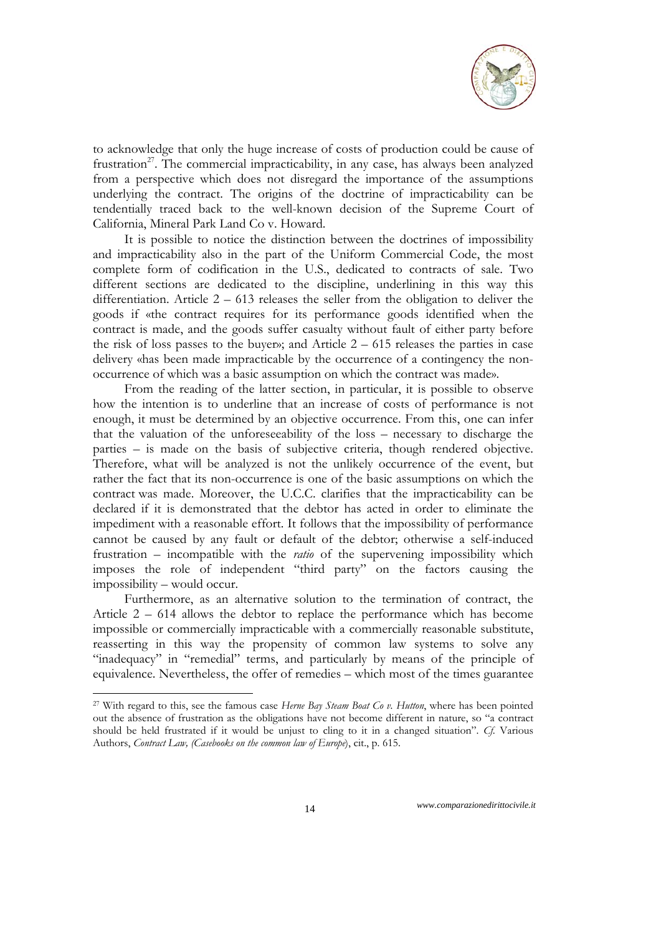

to acknowledge that only the huge increase of costs of production could be cause of frustration<sup>27</sup>. The commercial impracticability, in any case, has always been analyzed from a perspective which does not disregard the importance of the assumptions underlying the contract. The origins of the doctrine of impracticability can be tendentially traced back to the well-known decision of the Supreme Court of California, Mineral Park Land Co v. Howard.

It is possible to notice the distinction between the doctrines of impossibility and impracticability also in the part of the Uniform Commercial Code, the most complete form of codification in the U.S., dedicated to contracts of sale. Two different sections are dedicated to the discipline, underlining in this way this differentiation. Article 2 – 613 releases the seller from the obligation to deliver the goods if «the contract requires for its performance goods identified when the contract is made, and the goods suffer casualty without fault of either party before the risk of loss passes to the buyer»; and Article  $2 - 615$  releases the parties in case delivery «has been made impracticable by the occurrence of a contingency the nonoccurrence of which was a basic assumption on which the contract was made».

From the reading of the latter section, in particular, it is possible to observe how the intention is to underline that an increase of costs of performance is not enough, it must be determined by an objective occurrence. From this, one can infer that the valuation of the unforeseeability of the loss – necessary to discharge the parties – is made on the basis of subjective criteria, though rendered objective. Therefore, what will be analyzed is not the unlikely occurrence of the event, but rather the fact that its non-occurrence is one of the basic assumptions on which the contract was made. Moreover, the U.C.C. clarifies that the impracticability can be declared if it is demonstrated that the debtor has acted in order to eliminate the impediment with a reasonable effort. It follows that the impossibility of performance cannot be caused by any fault or default of the debtor; otherwise a self-induced frustration – incompatible with the *ratio* of the supervening impossibility which imposes the role of independent "third party" on the factors causing the impossibility – would occur.

Furthermore, as an alternative solution to the termination of contract, the Article 2 – 614 allows the debtor to replace the performance which has become impossible or commercially impracticable with a commercially reasonable substitute, reasserting in this way the propensity of common law systems to solve any "inadequacy" in "remedial" terms, and particularly by means of the principle of equivalence. Nevertheless, the offer of remedies – which most of the times guarantee

<sup>27</sup> With regard to this, see the famous case *Herne Bay Steam Boat Co v. Hutton*, where has been pointed out the absence of frustration as the obligations have not become different in nature, so "a contract should be held frustrated if it would be unjust to cling to it in a changed situation". *Cf*. Various Authors, *Contract Law, (Casebooks on the common law of Europe*), cit., p. 615.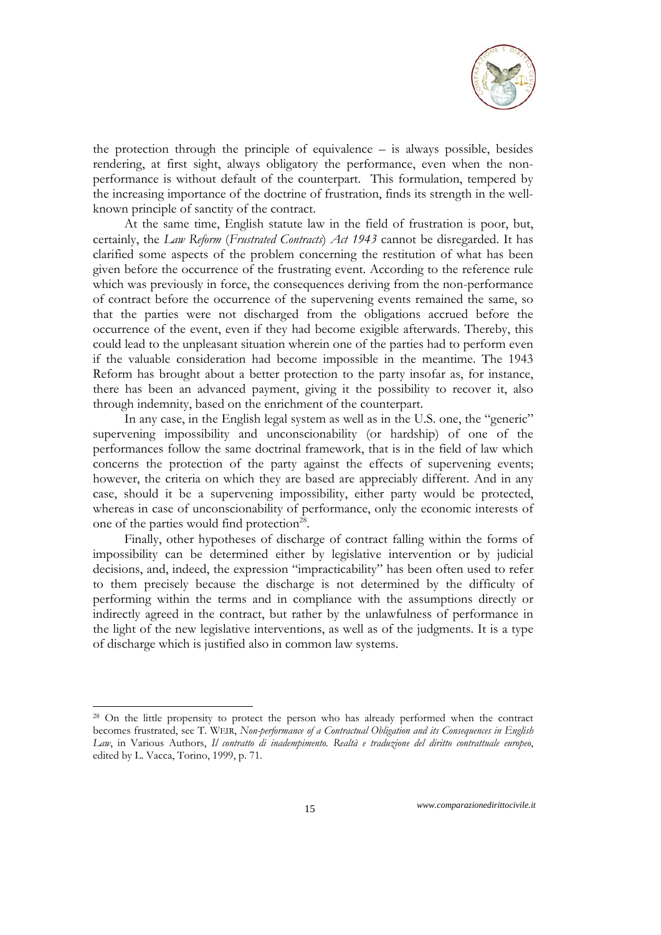

the protection through the principle of equivalence – is always possible, besides rendering, at first sight, always obligatory the performance, even when the nonperformance is without default of the counterpart. This formulation, tempered by the increasing importance of the doctrine of frustration, finds its strength in the wellknown principle of sanctity of the contract.

At the same time, English statute law in the field of frustration is poor, but, certainly, the *Law Reform* (*Frustrated Contracts*) *Act 1943* cannot be disregarded. It has clarified some aspects of the problem concerning the restitution of what has been given before the occurrence of the frustrating event. According to the reference rule which was previously in force, the consequences deriving from the non-performance of contract before the occurrence of the supervening events remained the same, so that the parties were not discharged from the obligations accrued before the occurrence of the event, even if they had become exigible afterwards. Thereby, this could lead to the unpleasant situation wherein one of the parties had to perform even if the valuable consideration had become impossible in the meantime. The 1943 Reform has brought about a better protection to the party insofar as, for instance, there has been an advanced payment, giving it the possibility to recover it, also through indemnity, based on the enrichment of the counterpart.

In any case, in the English legal system as well as in the U.S. one, the "generic" supervening impossibility and unconscionability (or hardship) of one of the performances follow the same doctrinal framework, that is in the field of law which concerns the protection of the party against the effects of supervening events; however, the criteria on which they are based are appreciably different. And in any case, should it be a supervening impossibility, either party would be protected, whereas in case of unconscionability of performance, only the economic interests of one of the parties would find protection<sup>28</sup>.

Finally, other hypotheses of discharge of contract falling within the forms of impossibility can be determined either by legislative intervention or by judicial decisions, and, indeed, the expression "impracticability" has been often used to refer to them precisely because the discharge is not determined by the difficulty of performing within the terms and in compliance with the assumptions directly or indirectly agreed in the contract, but rather by the unlawfulness of performance in the light of the new legislative interventions, as well as of the judgments. It is a type of discharge which is justified also in common law systems.

<sup>&</sup>lt;sup>28</sup> On the little propensity to protect the person who has already performed when the contract becomes frustrated, see T. WEIR, *Non-performance of a Contractual Obligation and its Consequences in English Law*, in Various Authors, *Il contratto di inadempimento. Realtà e traduzione del diritto contrattuale europeo*, edited by L. Vacca, Torino, 1999, p. 71.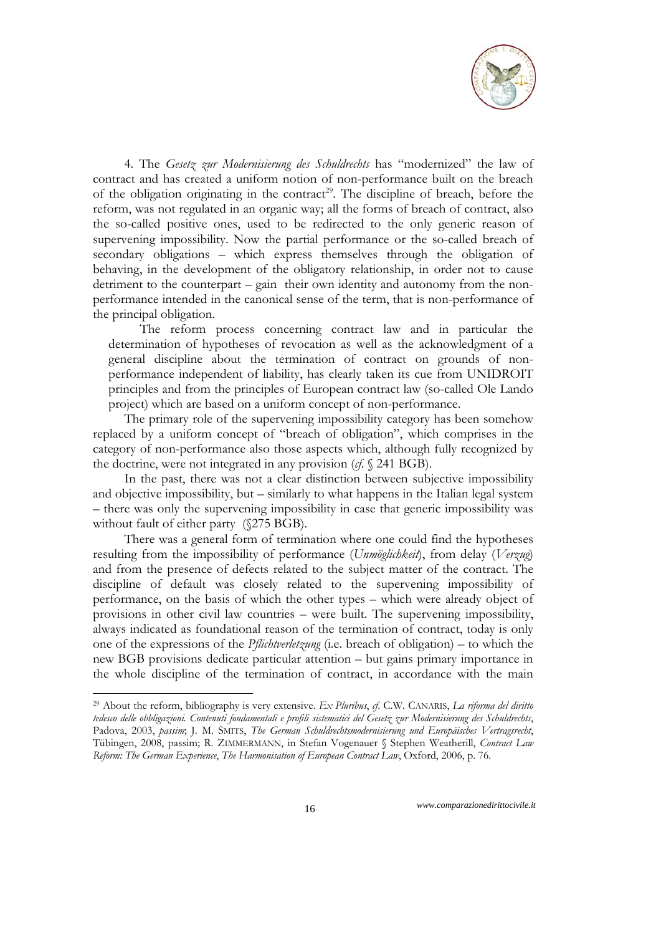

4. The *Gesetz zur Modernisierung des Schuldrechts* has "modernized" the law of contract and has created a uniform notion of non-performance built on the breach of the obligation originating in the contract<sup>29</sup>. The discipline of breach, before the reform, was not regulated in an organic way; all the forms of breach of contract, also the so-called positive ones, used to be redirected to the only generic reason of supervening impossibility. Now the partial performance or the so-called breach of secondary obligations – which express themselves through the obligation of behaving, in the development of the obligatory relationship, in order not to cause detriment to the counterpart – gain their own identity and autonomy from the nonperformance intended in the canonical sense of the term, that is non-performance of the principal obligation.

The reform process concerning contract law and in particular the determination of hypotheses of revocation as well as the acknowledgment of a general discipline about the termination of contract on grounds of nonperformance independent of liability, has clearly taken its cue from UNIDROIT principles and from the principles of European contract law (so-called Ole Lando project) which are based on a uniform concept of non-performance.

The primary role of the supervening impossibility category has been somehow replaced by a uniform concept of "breach of obligation", which comprises in the category of non-performance also those aspects which, although fully recognized by the doctrine, were not integrated in any provision (*cf*. § 241 BGB).

In the past, there was not a clear distinction between subjective impossibility and objective impossibility, but – similarly to what happens in the Italian legal system – there was only the supervening impossibility in case that generic impossibility was without fault of either party (§275 BGB).

There was a general form of termination where one could find the hypotheses resulting from the impossibility of performance (*Unmöglichkeit*), from delay (*Verzug*) and from the presence of defects related to the subject matter of the contract. The discipline of default was closely related to the supervening impossibility of performance, on the basis of which the other types – which were already object of provisions in other civil law countries – were built. The supervening impossibility, always indicated as foundational reason of the termination of contract, today is only one of the expressions of the *Pflichtverletzung* (i.e. breach of obligation) – to which the new BGB provisions dedicate particular attention – but gains primary importance in the whole discipline of the termination of contract, in accordance with the main

<sup>29</sup> About the reform, bibliography is very extensive. *Ex Pluribus*, *cf*. C.W. CANARIS, *La riforma del diritto tedesco delle obbligazioni. Contenuti fondamentali e profili sistematici del Gesetz zur Modernisierung des Schuldrechts*, Padova, 2003, *passim*; J. M. SMITS, *The German Schuldrechtsmodernisierung und Europäisches Vertragsrecht*, Tübingen, 2008, passim; R. ZIMMERMANN, in Stefan Vogenauer § Stephen Weatherill, *Contract Law Reform: The German Experience*, *The Harmonisation of European Contract Law*, Oxford, 2006, p. 76.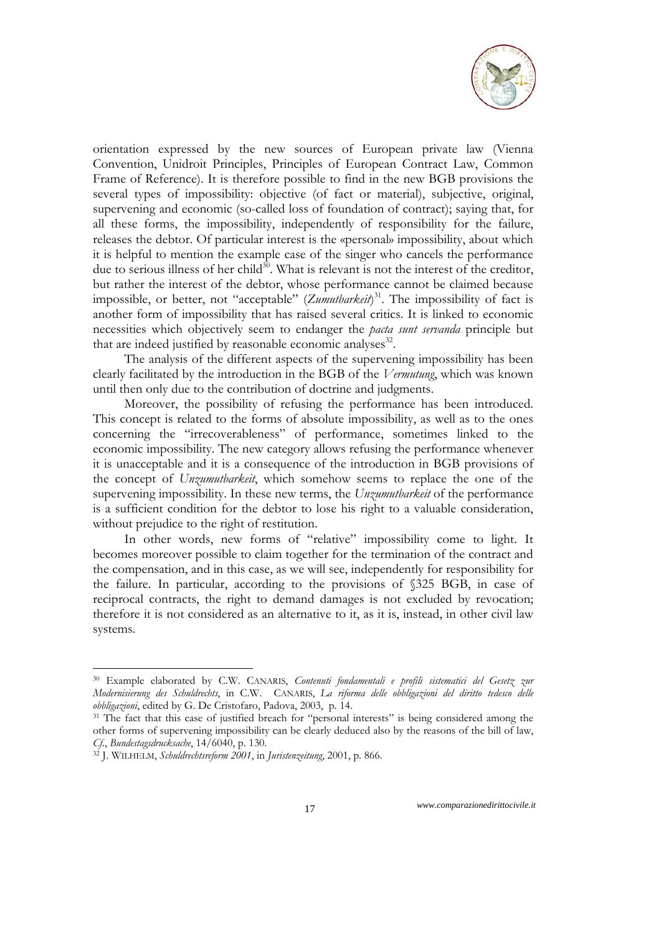

orientation expressed by the new sources of European private law (Vienna Convention, Unidroit Principles, Principles of European Contract Law, Common Frame of Reference). It is therefore possible to find in the new BGB provisions the several types of impossibility: objective (of fact or material), subjective, original, supervening and economic (so-called loss of foundation of contract); saying that, for all these forms, the impossibility, independently of responsibility for the failure, releases the debtor. Of particular interest is the «personal» impossibility, about which it is helpful to mention the example case of the singer who cancels the performance due to serious illness of her child<sup>30</sup>. What is relevant is not the interest of the creditor, but rather the interest of the debtor, whose performance cannot be claimed because impossible, or better, not "acceptable" (*Zumutbarkeit*) 31. The impossibility of fact is another form of impossibility that has raised several critics. It is linked to economic necessities which objectively seem to endanger the *pacta sunt servanda* principle but that are indeed justified by reasonable economic analyses $^{32}$ .

The analysis of the different aspects of the supervening impossibility has been clearly facilitated by the introduction in the BGB of the *Vermutung*, which was known until then only due to the contribution of doctrine and judgments.

Moreover, the possibility of refusing the performance has been introduced. This concept is related to the forms of absolute impossibility, as well as to the ones concerning the "irrecoverableness" of performance, sometimes linked to the economic impossibility. The new category allows refusing the performance whenever it is unacceptable and it is a consequence of the introduction in BGB provisions of the concept of *Unzumutbarkeit*, which somehow seems to replace the one of the supervening impossibility. In these new terms, the *Unzumutbarkeit* of the performance is a sufficient condition for the debtor to lose his right to a valuable consideration, without prejudice to the right of restitution.

In other words, new forms of "relative" impossibility come to light. It becomes moreover possible to claim together for the termination of the contract and the compensation, and in this case, as we will see, independently for responsibility for the failure. In particular, according to the provisions of §325 BGB, in case of reciprocal contracts, the right to demand damages is not excluded by revocation; therefore it is not considered as an alternative to it, as it is, instead, in other civil law systems.

1

<sup>30</sup> Example elaborated by C.W. CANARIS, *Contenuti fondamentali e profili sistematici del Gesetz zur Modernisierung des Schuldrechts*, in C.W. CANARIS, *La riforma delle obbligazioni del diritto tedesco delle* 

<sup>&</sup>lt;sup>31</sup> The fact that this case of justified breach for "personal interests" is being considered among the other forms of supervening impossibility can be clearly deduced also by the reasons of the bill of law, *Cf*., *Bundestagsdrucksache*, 14/6040, p. 130. 32 J. WILHELM, *Schuldrechtsreform 2001*, in *Juristenzeitung*, 2001, p. 866.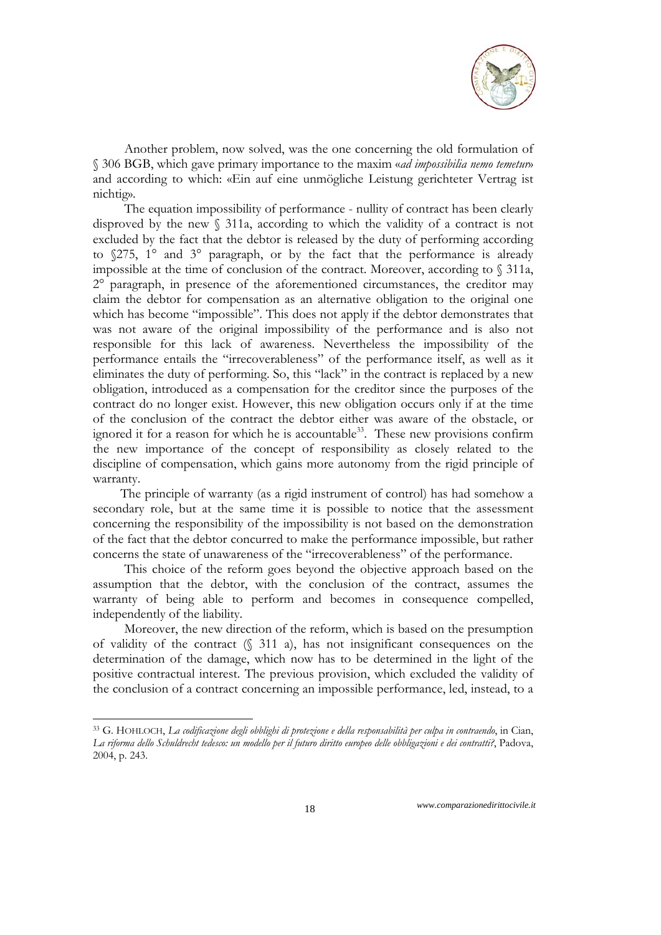

Another problem, now solved, was the one concerning the old formulation of § 306 BGB, which gave primary importance to the maxim «*ad impossibilia nemo temetur*» and according to which: «Ein auf eine unmögliche Leistung gerichteter Vertrag ist nichtig».

The equation impossibility of performance - nullity of contract has been clearly disproved by the new § 311a, according to which the validity of a contract is not excluded by the fact that the debtor is released by the duty of performing according to §275, 1° and 3° paragraph, or by the fact that the performance is already impossible at the time of conclusion of the contract. Moreover, according to § 311a, 2° paragraph, in presence of the aforementioned circumstances, the creditor may claim the debtor for compensation as an alternative obligation to the original one which has become "impossible". This does not apply if the debtor demonstrates that was not aware of the original impossibility of the performance and is also not responsible for this lack of awareness. Nevertheless the impossibility of the performance entails the "irrecoverableness" of the performance itself, as well as it eliminates the duty of performing. So, this "lack" in the contract is replaced by a new obligation, introduced as a compensation for the creditor since the purposes of the contract do no longer exist. However, this new obligation occurs only if at the time of the conclusion of the contract the debtor either was aware of the obstacle, or ignored it for a reason for which he is accountable<sup>33</sup>. These new provisions confirm the new importance of the concept of responsibility as closely related to the discipline of compensation, which gains more autonomy from the rigid principle of warranty.

 The principle of warranty (as a rigid instrument of control) has had somehow a secondary role, but at the same time it is possible to notice that the assessment concerning the responsibility of the impossibility is not based on the demonstration of the fact that the debtor concurred to make the performance impossible, but rather concerns the state of unawareness of the "irrecoverableness" of the performance.

This choice of the reform goes beyond the objective approach based on the assumption that the debtor, with the conclusion of the contract, assumes the warranty of being able to perform and becomes in consequence compelled, independently of the liability.

Moreover, the new direction of the reform, which is based on the presumption of validity of the contract (§ 311 a), has not insignificant consequences on the determination of the damage, which now has to be determined in the light of the positive contractual interest. The previous provision, which excluded the validity of the conclusion of a contract concerning an impossible performance, led, instead, to a

<sup>-</sup>33 G. HOHLOCH, *La codificazione degli obblighi di protezione e della responsabilità per culpa in contraendo*, in Cian, *La riforma dello Schuldrecht tedesco: un modello per il futuro diritto europeo delle obbligazioni e dei contratti?*, Padova, 2004, p. 243.